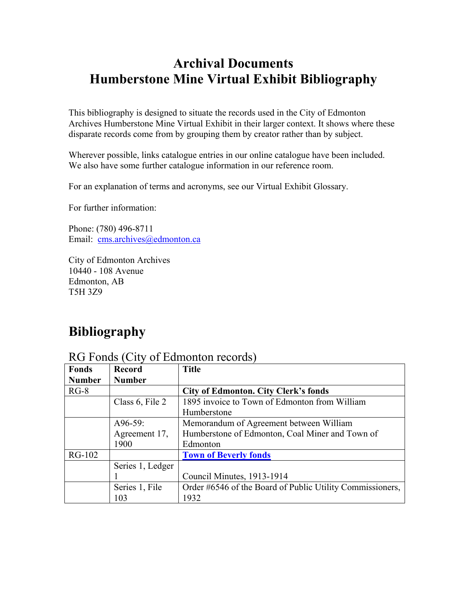# **Archival Documents Humberstone Mine Virtual Exhibit Bibliography**

This bibliography is designed to situate the records used in the City of Edmonton Archives Humberstone Mine Virtual Exhibit in their larger context. It shows where these disparate records come from by grouping them by creator rather than by subject.

Wherever possible, links catalogue entries in our online catalogue have been included. We also have some further catalogue information in our reference room.

For an explanation of terms and acronyms, see our Virtual Exhibit Glossary.

For further information:

Phone: (780) 496-8711 Email: cms.archives@edmonton.ca

City of Edmonton Archives 10440 - 108 Avenue Edmonton, AB T5H 3Z9

# **Bibliography**

#### RG Fonds (City of Edmonton records)

| <b>Fonds</b>  | <b>Record</b>    | <b>Title</b>                                              |
|---------------|------------------|-----------------------------------------------------------|
| <b>Number</b> | <b>Number</b>    |                                                           |
| $RG-8$        |                  | <b>City of Edmonton. City Clerk's fonds</b>               |
|               | Class 6, File 2  | 1895 invoice to Town of Edmonton from William             |
|               |                  | Humberstone                                               |
|               | $A96-59:$        | Memorandum of Agreement between William                   |
|               | Agreement 17,    | Humberstone of Edmonton, Coal Miner and Town of           |
|               | 1900             | Edmonton                                                  |
| <b>RG-102</b> |                  | <b>Town of Beverly fonds</b>                              |
|               | Series 1, Ledger |                                                           |
|               |                  | Council Minutes, 1913-1914                                |
|               | Series 1, File   | Order #6546 of the Board of Public Utility Commissioners, |
|               | 103              | 1932                                                      |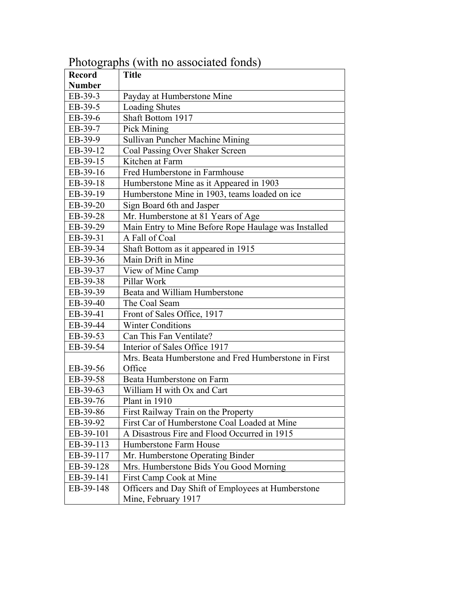| <b>Record</b> | $1 \text{ new group}$ (when $10 \text{ new group}$<br><b>Title</b> |
|---------------|--------------------------------------------------------------------|
| <b>Number</b> |                                                                    |
| EB-39-3       | Payday at Humberstone Mine                                         |
| EB-39-5       | <b>Loading Shutes</b>                                              |
| EB-39-6       | Shaft Bottom 1917                                                  |
| EB-39-7       | <b>Pick Mining</b>                                                 |
| EB-39-9       | Sullivan Puncher Machine Mining                                    |
| EB-39-12      | Coal Passing Over Shaker Screen                                    |
| EB-39-15      | Kitchen at Farm                                                    |
| EB-39-16      | Fred Humberstone in Farmhouse                                      |
| EB-39-18      | Humberstone Mine as it Appeared in 1903                            |
| EB-39-19      | Humberstone Mine in 1903, teams loaded on ice                      |
| EB-39-20      | Sign Board 6th and Jasper                                          |
| EB-39-28      | Mr. Humberstone at 81 Years of Age                                 |
| EB-39-29      | Main Entry to Mine Before Rope Haulage was Installed               |
| EB-39-31      | A Fall of Coal                                                     |
| EB-39-34      | Shaft Bottom as it appeared in 1915                                |
| EB-39-36      | Main Drift in Mine                                                 |
| EB-39-37      | View of Mine Camp                                                  |
| EB-39-38      | Pillar Work                                                        |
| EB-39-39      | Beata and William Humberstone                                      |
| EB-39-40      | The Coal Seam                                                      |
| EB-39-41      | Front of Sales Office, 1917                                        |
| EB-39-44      | <b>Winter Conditions</b>                                           |
| EB-39-53      | Can This Fan Ventilate?                                            |
| EB-39-54      | Interior of Sales Office 1917                                      |
|               | Mrs. Beata Humberstone and Fred Humberstone in First               |
| EB-39-56      | Office                                                             |
| EB-39-58      | Beata Humberstone on Farm                                          |
| EB-39-63      | William H with Ox and Cart                                         |
| EB-39-76      | Plant in 1910                                                      |
| EB-39-86      | First Railway Train on the Property                                |
| EB-39-92      | First Car of Humberstone Coal Loaded at Mine                       |
| EB-39-101     | A Disastrous Fire and Flood Occurred in 1915                       |
| EB-39-113     | Humberstone Farm House                                             |
| EB-39-117     | Mr. Humberstone Operating Binder                                   |
| EB-39-128     | Mrs. Humberstone Bids You Good Morning                             |
| EB-39-141     | First Camp Cook at Mine                                            |
| EB-39-148     | Officers and Day Shift of Employees at Humberstone                 |
|               | Mine, February 1917                                                |

Photographs (with no associated fonds)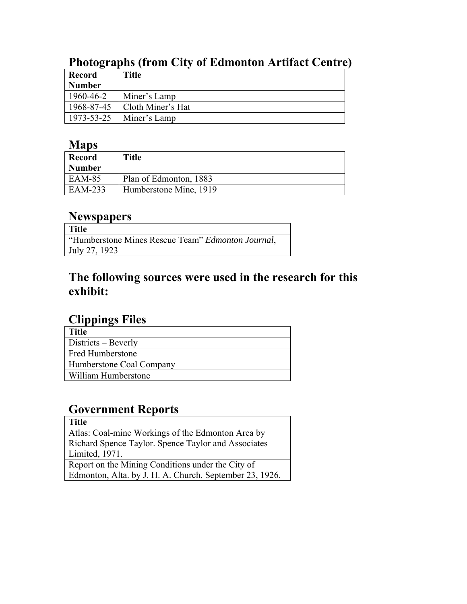| <b>Record</b> | <b>Title</b>      |
|---------------|-------------------|
| <b>Number</b> |                   |
| 1960-46-2     | Miner's Lamp      |
| 1968-87-45    | Cloth Miner's Hat |
| 1973-53-25    | Miner's Lamp      |

## **Photographs (from City of Edmonton Artifact Centre)**

### **Maps**

| Record        | <b>Title</b>           |
|---------------|------------------------|
| <b>Number</b> |                        |
| EAM-85        | Plan of Edmonton, 1883 |
| EAM-233       | Humberstone Mine, 1919 |

### **Newspapers**

| Title                                             |
|---------------------------------------------------|
| "Humberstone Mines Rescue Team" Edmonton Journal, |
| July 27, 1923                                     |

## **The following sources were used in the research for this exhibit:**

#### **Clippings Files**

| Title                    |
|--------------------------|
| Districts – Beverly      |
| <b>Fred Humberstone</b>  |
| Humberstone Coal Company |
| William Humberstone      |

# **Government Reports**